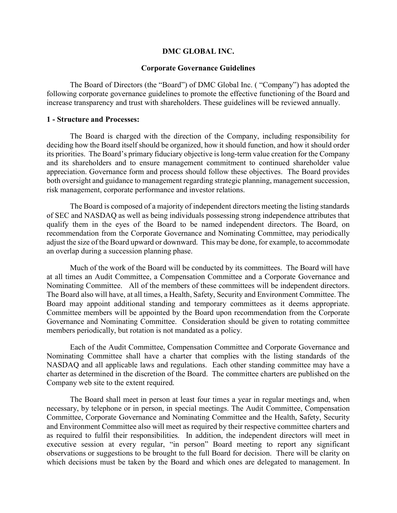### DMC GLOBAL INC.

### Corporate Governance Guidelines

The Board of Directors (the "Board") of DMC Global Inc. ( "Company") has adopted the following corporate governance guidelines to promote the effective functioning of the Board and increase transparency and trust with shareholders. These guidelines will be reviewed annually.

### 1 - Structure and Processes:

The Board is charged with the direction of the Company, including responsibility for deciding how the Board itself should be organized, how it should function, and how it should order its priorities. The Board's primary fiduciary objective is long-term value creation for the Company and its shareholders and to ensure management commitment to continued shareholder value appreciation. Governance form and process should follow these objectives. The Board provides both oversight and guidance to management regarding strategic planning, management succession, risk management, corporate performance and investor relations.

 The Board is composed of a majority of independent directors meeting the listing standards of SEC and NASDAQ as well as being individuals possessing strong independence attributes that qualify them in the eyes of the Board to be named independent directors. The Board, on recommendation from the Corporate Governance and Nominating Committee, may periodically adjust the size of the Board upward or downward. This may be done, for example, to accommodate an overlap during a succession planning phase.

Much of the work of the Board will be conducted by its committees. The Board will have at all times an Audit Committee, a Compensation Committee and a Corporate Governance and Nominating Committee. All of the members of these committees will be independent directors. The Board also will have, at all times, a Health, Safety, Security and Environment Committee. The Board may appoint additional standing and temporary committees as it deems appropriate. Committee members will be appointed by the Board upon recommendation from the Corporate Governance and Nominating Committee. Consideration should be given to rotating committee members periodically, but rotation is not mandated as a policy.

Each of the Audit Committee, Compensation Committee and Corporate Governance and Nominating Committee shall have a charter that complies with the listing standards of the NASDAQ and all applicable laws and regulations. Each other standing committee may have a charter as determined in the discretion of the Board. The committee charters are published on the Company web site to the extent required.

The Board shall meet in person at least four times a year in regular meetings and, when necessary, by telephone or in person, in special meetings. The Audit Committee, Compensation Committee, Corporate Governance and Nominating Committee and the Health, Safety, Security and Environment Committee also will meet as required by their respective committee charters and as required to fulfil their responsibilities. In addition, the independent directors will meet in executive session at every regular, "in person" Board meeting to report any significant observations or suggestions to be brought to the full Board for decision. There will be clarity on which decisions must be taken by the Board and which ones are delegated to management. In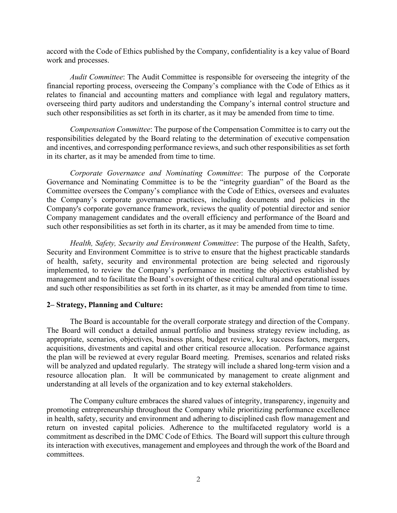accord with the Code of Ethics published by the Company, confidentiality is a key value of Board work and processes.

Audit Committee: The Audit Committee is responsible for overseeing the integrity of the financial reporting process, overseeing the Company's compliance with the Code of Ethics as it relates to financial and accounting matters and compliance with legal and regulatory matters, overseeing third party auditors and understanding the Company's internal control structure and such other responsibilities as set forth in its charter, as it may be amended from time to time.

Compensation Committee: The purpose of the Compensation Committee is to carry out the responsibilities delegated by the Board relating to the determination of executive compensation and incentives, and corresponding performance reviews, and such other responsibilities as set forth in its charter, as it may be amended from time to time.

Corporate Governance and Nominating Committee: The purpose of the Corporate Governance and Nominating Committee is to be the "integrity guardian" of the Board as the Committee oversees the Company's compliance with the Code of Ethics, oversees and evaluates the Company's corporate governance practices, including documents and policies in the Company's corporate governance framework, reviews the quality of potential director and senior Company management candidates and the overall efficiency and performance of the Board and such other responsibilities as set forth in its charter, as it may be amended from time to time.

Health, Safety, Security and Environment Committee: The purpose of the Health, Safety, Security and Environment Committee is to strive to ensure that the highest practicable standards of health, safety, security and environmental protection are being selected and rigorously implemented, to review the Company's performance in meeting the objectives established by management and to facilitate the Board's oversight of these critical cultural and operational issues and such other responsibilities as set forth in its charter, as it may be amended from time to time.

# 2– Strategy, Planning and Culture:

The Board is accountable for the overall corporate strategy and direction of the Company. The Board will conduct a detailed annual portfolio and business strategy review including, as appropriate, scenarios, objectives, business plans, budget review, key success factors, mergers, acquisitions, divestments and capital and other critical resource allocation. Performance against the plan will be reviewed at every regular Board meeting. Premises, scenarios and related risks will be analyzed and updated regularly. The strategy will include a shared long-term vision and a resource allocation plan. It will be communicated by management to create alignment and understanding at all levels of the organization and to key external stakeholders.

The Company culture embraces the shared values of integrity, transparency, ingenuity and promoting entrepreneurship throughout the Company while prioritizing performance excellence in health, safety, security and environment and adhering to disciplined cash flow management and return on invested capital policies. Adherence to the multifaceted regulatory world is a commitment as described in the DMC Code of Ethics. The Board will support this culture through its interaction with executives, management and employees and through the work of the Board and committees.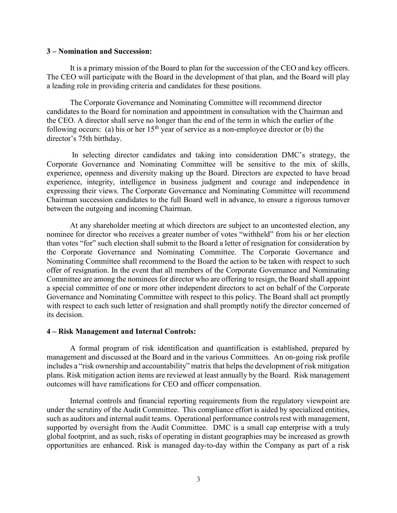## 3 – Nomination and Succession:

It is a primary mission of the Board to plan for the succession of the CEO and key officers. The CEO will participate with the Board in the development of that plan, and the Board will play a leading role in providing criteria and candidates for these positions.

The Corporate Governance and Nominating Committee will recommend director candidates to the Board for nomination and appointment in consultation with the Chairman and the CEO. A director shall serve no longer than the end of the term in which the earlier of the following occurs: (a) his or her  $15<sup>th</sup>$  year of service as a non-employee director or (b) the director's 75th birthday.

 In selecting director candidates and taking into consideration DMC's strategy, the Corporate Governance and Nominating Committee will be sensitive to the mix of skills, experience, openness and diversity making up the Board. Directors are expected to have broad experience, integrity, intelligence in business judgment and courage and independence in expressing their views. The Corporate Governance and Nominating Committee will recommend Chairman succession candidates to the full Board well in advance, to ensure a rigorous turnover between the outgoing and incoming Chairman.

At any shareholder meeting at which directors are subject to an uncontested election, any nominee for director who receives a greater number of votes "withheld" from his or her election than votes "for" such election shall submit to the Board a letter of resignation for consideration by the Corporate Governance and Nominating Committee. The Corporate Governance and Nominating Committee shall recommend to the Board the action to be taken with respect to such offer of resignation. In the event that all members of the Corporate Governance and Nominating Committee are among the nominees for director who are offering to resign, the Board shall appoint a special committee of one or more other independent directors to act on behalf of the Corporate Governance and Nominating Committee with respect to this policy. The Board shall act promptly with respect to each such letter of resignation and shall promptly notify the director concerned of its decision.

## 4 – Risk Management and Internal Controls:

A formal program of risk identification and quantification is established, prepared by management and discussed at the Board and in the various Committees. An on-going risk profile includes a "risk ownership and accountability" matrix that helps the development of risk mitigation plans. Risk mitigation action items are reviewed at least annually by the Board. Risk management outcomes will have ramifications for CEO and officer compensation.

Internal controls and financial reporting requirements from the regulatory viewpoint are under the scrutiny of the Audit Committee. This compliance effort is aided by specialized entities, such as auditors and internal audit teams. Operational performance controls rest with management, supported by oversight from the Audit Committee. DMC is a small cap enterprise with a truly global footprint, and as such, risks of operating in distant geographies may be increased as growth opportunities are enhanced. Risk is managed day-to-day within the Company as part of a risk